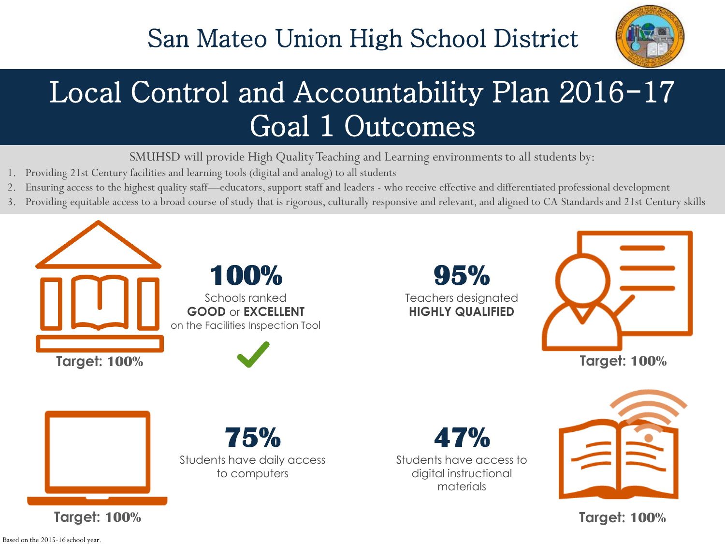

# Local Control and Accountability Plan 2016-17 Goal 1 Outcomes

SMUHSD will provide High Quality Teaching and Learning environments to all students by:

- Providing 21st Century facilities and learning tools (digital and analog) to all students
- 2. Ensuring access to the highest quality staff—educators, support staff and leaders who receive effective and differentiated professional development
- 3. Providing equitable access to a broad course of study that is rigorous, culturally responsive and relevant, and aligned to CA Standards and 21st Century skills



Based on the 2015-16 school year.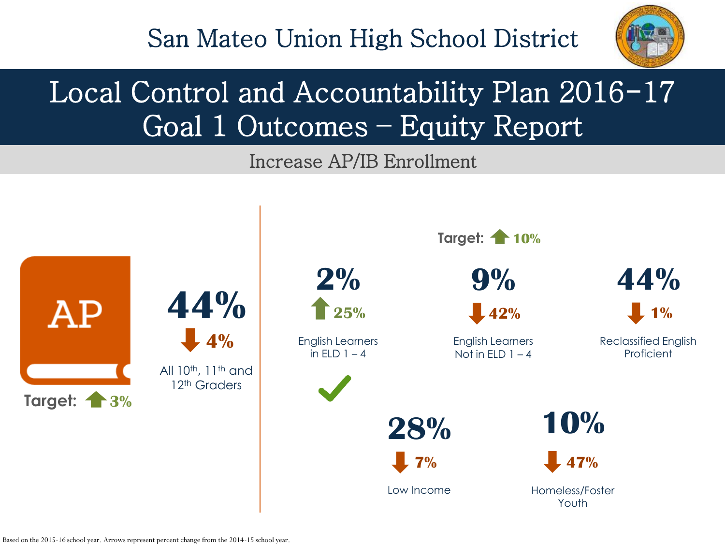

## Local Control and Accountability Plan 2016-17 Goal 1 Outcomes – Equity Report

Increase AP/IB Enrollment

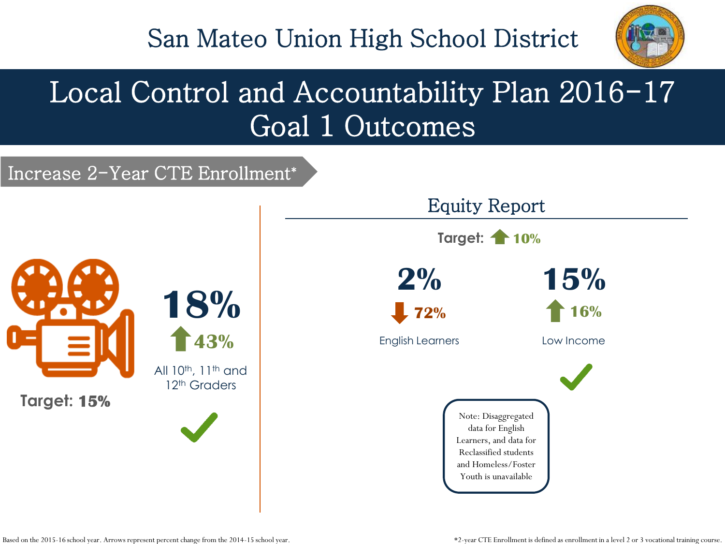

## Local Control and Accountability Plan 2016-17 Goal 1 Outcomes

#### Increase 2-Year CTE Enrollment\*

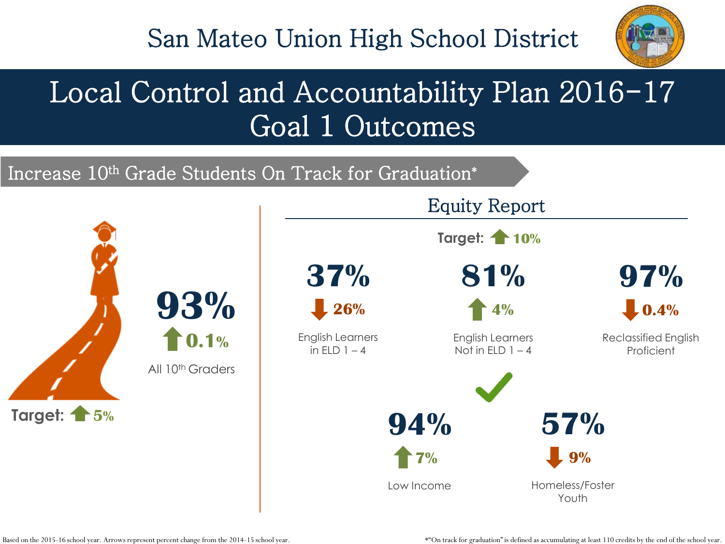

## Local Control and Accountability Plan 2016-17 Goal 1 Outcomes





Based on the 2015-16 school year. Arrows represent percent change from the 2014-15 school year.